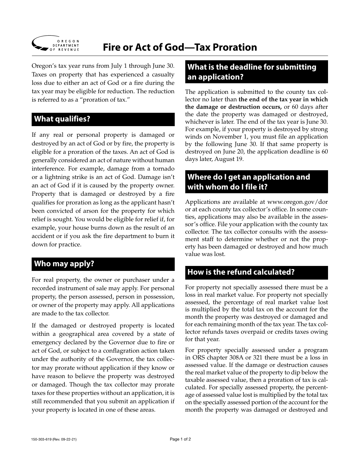

# **Fire or Act of God—Tax Proration**

Oregon's tax year runs from July 1 through June 30. Taxes on property that has experienced a casualty loss due to either an act of God or a fire during the tax year may be eligible for reduction. The reduction is referred to as a "proration of tax."

### **What qualifies?**

If any real or personal property is damaged or destroyed by an act of God or by fire, the property is eligible for a proration of the taxes. An act of God is generally considered an act of nature without human interference. For example, damage from a tornado or a lightning strike is an act of God. Damage isn't an act of God if it is caused by the property owner. Property that is damaged or destroyed by a fire qualifies for proration as long as the applicant hasn't been convicted of arson for the property for which relief is sought. You would be eligible for relief if, for example, your house burns down as the result of an accident or if you ask the fire department to burn it down for practice.

### **Who may apply?**

For real property, the owner or purchaser under a recorded instrument of sale may apply. For personal property, the person assessed, person in possession, or owner of the property may apply. All applications are made to the tax collector.

If the damaged or destroyed property is located within a geographical area covered by a state of emergency declared by the Governor due to fire or act of God, or subject to a conflagration action taken under the authority of the Governor, the tax collector may prorate without application if they know or have reason to believe the property was destroyed or damaged. Though the tax collector may prorate taxes for these properties without an application, it is still recommended that you submit an application if your property is located in one of these areas.

### **What is the deadline for submitting an application?**

The application is submitted to the county tax collector no later than **the end of the tax year in which the damage or destruction occurs,** or 60 days after the date the property was damaged or destroyed, whichever is later. The end of the tax year is June 30. For example, if your property is destroyed by strong winds on November 1, you must file an application by the following June 30. If that same property is destroyed on June 20, the application deadline is 60 days later, August 19.

### **Where do I get an application and with whom do I file it?**

Applications are available at www.oregon.gov/dor or at each county tax collector's office. In some counties, applications may also be available in the assessor's office. File your application with the county tax collector. The tax collector consults with the assessment staff to determine whether or not the property has been damaged or destroyed and how much value was lost.

# **How is the refund calculated?**

For property not specially assessed there must be a loss in real market value. For property not specially assessed, the percentage of real market value lost is multiplied by the total tax on the account for the month the property was destroyed or damaged and for each remaining month of the tax year. The tax collector refunds taxes overpaid or credits taxes owing for that year.

For property specially assessed under a program in ORS chapter 308A or 321 there must be a loss in assessed value. If the damage or destruction causes the real market value of the property to dip below the taxable assessed value, then a proration of tax is calculated. For specially assessed property, the percentage of assessed value lost is multiplied by the total tax on the specially assessed portion of the account for the month the property was damaged or destroyed and